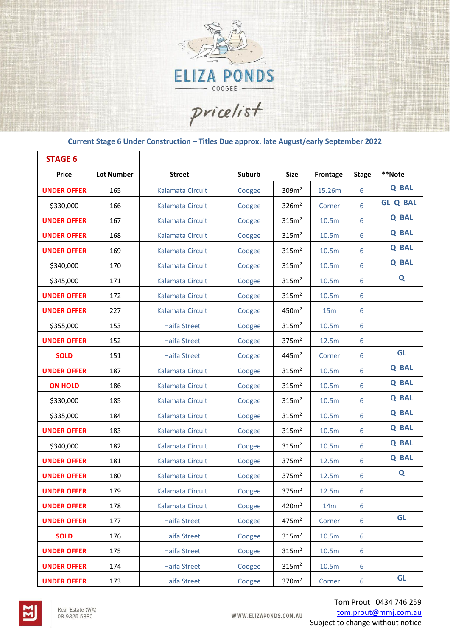

pricelist

## **Current Stage 6 Under Construction – Titles Due approx. late August/early September 2022**

| <b>STAGE 6</b>     |                   |                         |        |                   |                   |              |                 |
|--------------------|-------------------|-------------------------|--------|-------------------|-------------------|--------------|-----------------|
| Price              | <b>Lot Number</b> | <b>Street</b>           | Suburb | <b>Size</b>       | Frontage          | <b>Stage</b> | **Note          |
| <b>UNDER OFFER</b> | 165               | Kalamata Circuit        | Coogee | 309 <sup>2</sup>  | 15.26m            | 6            | <b>Q BAL</b>    |
| \$330,000          | 166               | Kalamata Circuit        | Coogee | 326m <sup>2</sup> | Corner            | 6            | <b>GL Q BAL</b> |
| <b>UNDER OFFER</b> | 167               | Kalamata Circuit        | Coogee | 315m <sup>2</sup> | 10.5m             | 6            | <b>Q BAL</b>    |
| <b>UNDER OFFER</b> | 168               | Kalamata Circuit        | Coogee | 315m <sup>2</sup> | 10.5m             | 6            | <b>Q BAL</b>    |
| <b>UNDER OFFER</b> | 169               | Kalamata Circuit        | Coogee | 315m <sup>2</sup> | 10.5m             | 6            | <b>Q BAL</b>    |
| \$340,000          | 170               | Kalamata Circuit        | Coogee | 315m <sup>2</sup> | 10.5m             | 6            | <b>Q BAL</b>    |
| \$345,000          | 171               | <b>Kalamata Circuit</b> | Coogee | 315m <sup>2</sup> | 10.5m             | 6            | Q               |
| <b>UNDER OFFER</b> | 172               | Kalamata Circuit        | Coogee | 315m <sup>2</sup> | 10.5m             | 6            |                 |
| <b>UNDER OFFER</b> | 227               | Kalamata Circuit        | Coogee | 450m <sup>2</sup> | 15m               | 6            |                 |
| \$355,000          | 153               | <b>Haifa Street</b>     | Coogee | 315m <sup>2</sup> | 10.5 <sub>m</sub> | 6            |                 |
| <b>UNDER OFFER</b> | 152               | <b>Haifa Street</b>     | Coogee | 375m <sup>2</sup> | 12.5m             | 6            |                 |
| <b>SOLD</b>        | 151               | <b>Haifa Street</b>     | Coogee | 445m <sup>2</sup> | Corner            | 6            | <b>GL</b>       |
| <b>UNDER OFFER</b> | 187               | Kalamata Circuit        | Coogee | 315m <sup>2</sup> | 10.5m             | 6            | <b>Q BAL</b>    |
| <b>ON HOLD</b>     | 186               | <b>Kalamata Circuit</b> | Coogee | 315m <sup>2</sup> | 10.5 <sub>m</sub> | 6            | <b>Q BAL</b>    |
| \$330,000          | 185               | Kalamata Circuit        | Coogee | 315m <sup>2</sup> | 10.5m             | 6            | <b>Q BAL</b>    |
| \$335,000          | 184               | Kalamata Circuit        | Coogee | 315m <sup>2</sup> | 10.5m             | 6            | <b>Q BAL</b>    |
| <b>UNDER OFFER</b> | 183               | Kalamata Circuit        | Coogee | 315m <sup>2</sup> | 10.5m             | 6            | <b>Q BAL</b>    |
| \$340,000          | 182               | Kalamata Circuit        | Coogee | 315m <sup>2</sup> | 10.5m             | 6            | <b>Q BAL</b>    |
| <b>UNDER OFFER</b> | 181               | Kalamata Circuit        | Coogee | 375m <sup>2</sup> | 12.5m             | 6            | <b>Q BAL</b>    |
| <b>UNDER OFFER</b> | 180               | <b>Kalamata Circuit</b> | Coogee | 375m <sup>2</sup> | 12.5m             | 6            | Q               |
| <b>UNDER OFFER</b> | 179               | Kalamata Circuit        | Coogee | 375m <sup>2</sup> | 12.5m             | 6            |                 |
| <b>UNDER OFFER</b> | 178               | Kalamata Circuit        | Coogee | 420m <sup>2</sup> | 14m               | 6            |                 |
| <b>UNDER OFFER</b> | 177               | <b>Haifa Street</b>     | Coogee | 475m <sup>2</sup> | Corner            | 6            | <b>GL</b>       |
| <b>SOLD</b>        | 176               | <b>Haifa Street</b>     | Coogee | 315m <sup>2</sup> | 10.5m             | 6            |                 |
| <b>UNDER OFFER</b> | 175               | <b>Haifa Street</b>     | Coogee | 315m <sup>2</sup> | 10.5m             | 6            |                 |
| <b>UNDER OFFER</b> | 174               | <b>Haifa Street</b>     | Coogee | 315m <sup>2</sup> | 10.5m             | 6            |                 |
| <b>UNDER OFFER</b> | 173               | <b>Haifa Street</b>     | Coogee | 370m <sup>2</sup> | Corner            | 6            | <b>GL</b>       |

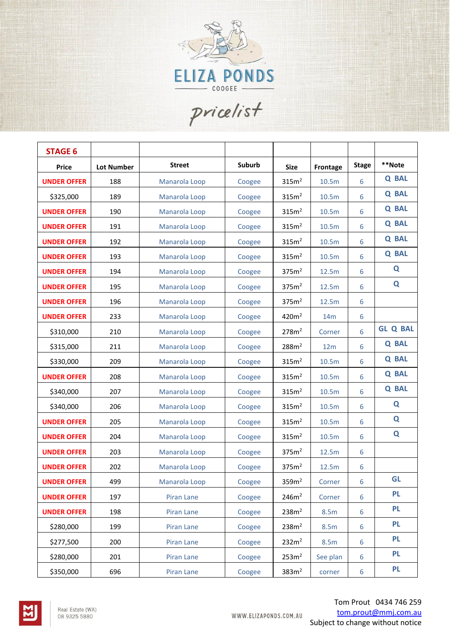

pricelist

| <b>STAGE 6</b>     |                   |               |        |                   |          |              |                 |
|--------------------|-------------------|---------------|--------|-------------------|----------|--------------|-----------------|
| <b>Price</b>       | <b>Lot Number</b> | <b>Street</b> | Suburb | <b>Size</b>       | Frontage | <b>Stage</b> | **Note          |
| <b>UNDER OFFER</b> | 188               | Manarola Loop | Coogee | 315m <sup>2</sup> | 10.5m    | 6            | <b>Q BAL</b>    |
| \$325,000          | 189               | Manarola Loop | Coogee | 315m <sup>2</sup> | 10.5m    | 6            | <b>Q BAL</b>    |
| <b>UNDER OFFER</b> | 190               | Manarola Loop | Coogee | 315m <sup>2</sup> | 10.5m    | 6            | <b>Q BAL</b>    |
| <b>UNDER OFFER</b> | 191               | Manarola Loop | Coogee | 315m <sup>2</sup> | 10.5m    | 6            | <b>Q BAL</b>    |
| <b>UNDER OFFER</b> | 192               | Manarola Loop | Coogee | 315m <sup>2</sup> | 10.5m    | 6            | <b>Q BAL</b>    |
| <b>UNDER OFFER</b> | 193               | Manarola Loop | Coogee | 315m <sup>2</sup> | 10.5m    | 6            | <b>Q BAL</b>    |
| <b>UNDER OFFER</b> | 194               | Manarola Loop | Coogee | 375m <sup>2</sup> | 12.5m    | 6            | Q               |
| <b>UNDER OFFER</b> | 195               | Manarola Loop | Coogee | 375m <sup>2</sup> | 12.5m    | 6            | Q               |
| <b>UNDER OFFER</b> | 196               | Manarola Loop | Coogee | 375m <sup>2</sup> | 12.5m    | 6            |                 |
| <b>UNDER OFFER</b> | 233               | Manarola Loop | Coogee | 420m <sup>2</sup> | 14m      | 6            |                 |
| \$310,000          | 210               | Manarola Loop | Coogee | 278m <sup>2</sup> | Corner   | 6            | <b>GL Q BAL</b> |
| \$315,000          | 211               | Manarola Loop | Coogee | 288m <sup>2</sup> | 12m      | 6            | <b>Q BAL</b>    |
| \$330,000          | 209               | Manarola Loop | Coogee | 315m <sup>2</sup> | 10.5m    | 6            | <b>Q BAL</b>    |
| <b>UNDER OFFER</b> | 208               | Manarola Loop | Coogee | 315m <sup>2</sup> | 10.5m    | 6            | <b>Q BAL</b>    |
| \$340,000          | 207               | Manarola Loop | Coogee | 315m <sup>2</sup> | 10.5m    | 6            | <b>Q BAL</b>    |
| \$340,000          | 206               | Manarola Loop | Coogee | 315m <sup>2</sup> | 10.5m    | 6            | Q               |
| <b>UNDER OFFER</b> | 205               | Manarola Loop | Coogee | 315m <sup>2</sup> | 10.5m    | 6            | Q               |
| <b>UNDER OFFER</b> | 204               | Manarola Loop | Coogee | 315m <sup>2</sup> | 10.5m    | 6            | Q               |
| <b>UNDER OFFER</b> | 203               | Manarola Loop | Coogee | 375m <sup>2</sup> | 12.5m    | 6            |                 |
| <b>UNDER OFFER</b> | 202               | Manarola Loop | Coogee | 375m <sup>2</sup> | 12.5m    | 6            |                 |
| <b>UNDER OFFER</b> | 499               | Manarola Loop | Coogee | 359m <sup>2</sup> | Corner   | 6            | <b>GL</b>       |
| <b>UNDER OFFER</b> | 197               | Piran Lane    | Coogee | 246m <sup>2</sup> | Corner   | 6            | <b>PL</b>       |
| <b>UNDER OFFER</b> | 198               | Piran Lane    | Coogee | 238m <sup>2</sup> | 8.5m     | 6            | <b>PL</b>       |
| \$280,000          | 199               | Piran Lane    | Coogee | 238m <sup>2</sup> | 8.5m     | 6            | <b>PL</b>       |
| \$277,500          | 200               | Piran Lane    | Coogee | 232m <sup>2</sup> | 8.5m     | 6            | <b>PL</b>       |
| \$280,000          | 201               | Piran Lane    | Coogee | 253m <sup>2</sup> | See plan | 6            | <b>PL</b>       |
| \$350,000          | 696               | Piran Lane    | Coogee | 383m <sup>2</sup> | corner   | 6            | <b>PL</b>       |